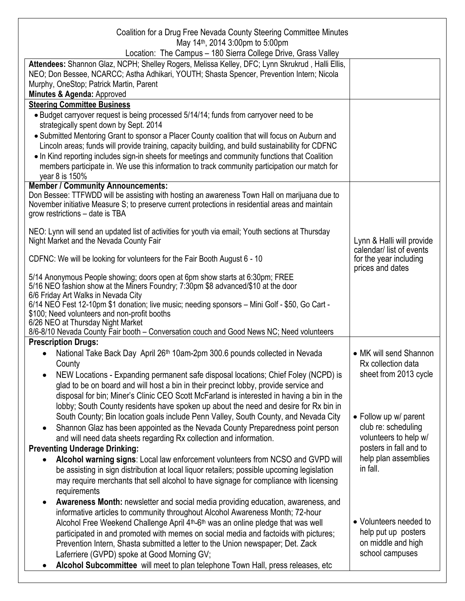| Coalition for a Drug Free Nevada County Steering Committee Minutes<br>May 14 <sup>th</sup> , 2014 3:00pm to 5:00pm |                           |
|--------------------------------------------------------------------------------------------------------------------|---------------------------|
| Location: The Campus - 180 Sierra College Drive, Grass Valley                                                      |                           |
| Attendees: Shannon Glaz, NCPH; Shelley Rogers, Melissa Kelley, DFC; Lynn Skrukrud, Halli Ellis,                    |                           |
| NEO; Don Bessee, NCARCC; Astha Adhikari, YOUTH; Shasta Spencer, Prevention Intern; Nicola                          |                           |
| Murphy, OneStop; Patrick Martin, Parent                                                                            |                           |
| Minutes & Agenda: Approved                                                                                         |                           |
| <b>Steering Committee Business</b>                                                                                 |                           |
| • Budget carryover request is being processed 5/14/14; funds from carryover need to be                             |                           |
| strategically spent down by Sept. 2014                                                                             |                           |
| • Submitted Mentoring Grant to sponsor a Placer County coalition that will focus on Auburn and                     |                           |
| Lincoln areas; funds will provide training, capacity building, and build sustainability for CDFNC                  |                           |
| • In Kind reporting includes sign-in sheets for meetings and community functions that Coalition                    |                           |
| members participate in. We use this information to track community participation our match for                     |                           |
| year 8 is 150%                                                                                                     |                           |
| <b>Member / Community Announcements:</b>                                                                           |                           |
| Don Bessee: TTFWDD will be assisting with hosting an awareness Town Hall on marijuana due to                       |                           |
| November initiative Measure S; to preserve current protections in residential areas and maintain                   |                           |
| grow restrictions - date is TBA                                                                                    |                           |
|                                                                                                                    |                           |
| NEO: Lynn will send an updated list of activities for youth via email; Youth sections at Thursday                  |                           |
| Night Market and the Nevada County Fair                                                                            | Lynn & Halli will provide |
|                                                                                                                    | calendar/list of events   |
| CDFNC: We will be looking for volunteers for the Fair Booth August 6 - 10                                          | for the year including    |
| 5/14 Anonymous People showing; doors open at 6pm show starts at 6:30pm; FREE                                       | prices and dates          |
| 5/16 NEO fashion show at the Miners Foundry; 7:30pm \$8 advanced/\$10 at the door                                  |                           |
| 6/6 Friday Art Walks in Nevada City                                                                                |                           |
| 6/14 NEO Fest 12-10pm \$1 donation; live music; needing sponsors - Mini Golf - \$50, Go Cart -                     |                           |
| \$100; Need volunteers and non-profit booths                                                                       |                           |
| 6/26 NEO at Thursday Night Market                                                                                  |                           |
| 8/6-8/10 Nevada County Fair booth - Conversation couch and Good News NC; Need volunteers                           |                           |
| <b>Prescription Drugs:</b>                                                                                         |                           |
| National Take Back Day April 26th 10am-2pm 300.6 pounds collected in Nevada<br>$\bullet$                           | • MK will send Shannon    |
| County                                                                                                             | Rx collection data        |
| NEW Locations - Expanding permanent safe disposal locations; Chief Foley (NCPD) is<br>$\bullet$                    | sheet from 2013 cycle     |
| glad to be on board and will host a bin in their precinct lobby, provide service and                               |                           |
| disposal for bin; Miner's Clinic CEO Scott McFarland is interested in having a bin in the                          |                           |
| lobby; South County residents have spoken up about the need and desire for Rx bin in                               |                           |
| South County; Bin location goals include Penn Valley, South County, and Nevada City                                | • Follow up w/ parent     |
| Shannon Glaz has been appointed as the Nevada County Preparedness point person<br>$\bullet$                        | club re: scheduling       |
| and will need data sheets regarding Rx collection and information.                                                 | volunteers to help w/     |
| <b>Preventing Underage Drinking:</b>                                                                               | posters in fall and to    |
|                                                                                                                    | help plan assemblies      |
| Alcohol warning signs: Local law enforcement volunteers from NCSO and GVPD will                                    | in fall.                  |
| be assisting in sign distribution at local liquor retailers; possible upcoming legislation                         |                           |
| may require merchants that sell alcohol to have signage for compliance with licensing                              |                           |
| requirements                                                                                                       |                           |
| Awareness Month: newsletter and social media providing education, awareness, and<br>$\bullet$                      |                           |
| informative articles to community throughout Alcohol Awareness Month; 72-hour                                      |                           |
| Alcohol Free Weekend Challenge April 4 <sup>th</sup> -6 <sup>th</sup> was an online pledge that was well           | • Volunteers needed to    |
| participated in and promoted with memes on social media and factoids with pictures;                                | help put up posters       |
| Prevention Intern, Shasta submitted a letter to the Union newspaper; Det. Zack                                     | on middle and high        |
| Laferriere (GVPD) spoke at Good Morning GV;                                                                        | school campuses           |
| Alcohol Subcommittee will meet to plan telephone Town Hall, press releases, etc                                    |                           |